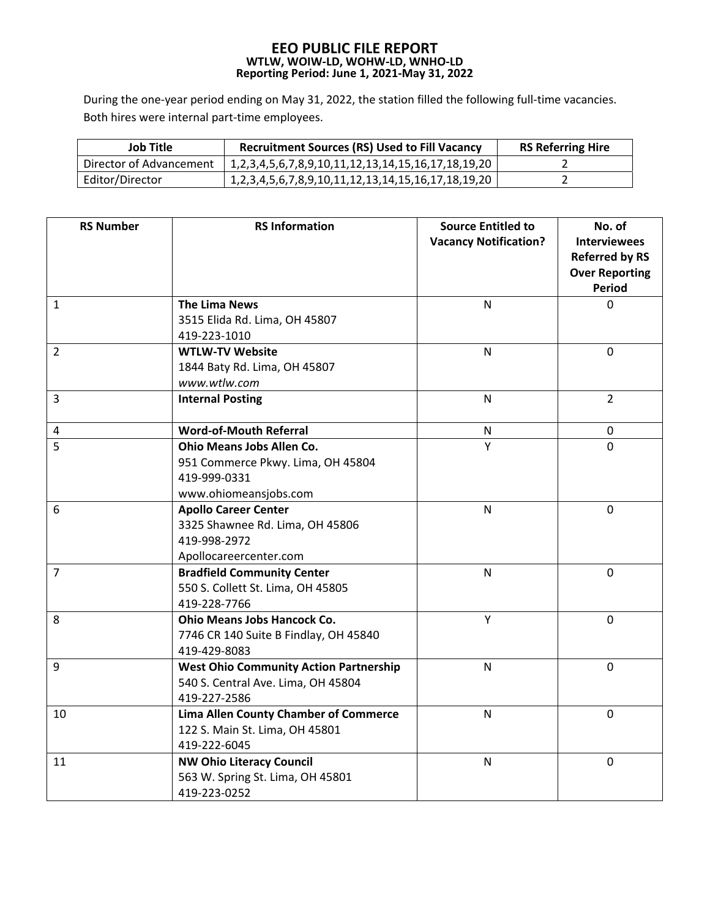## **EEO PUBLIC FILE REPORT WTLW, WOIW‐LD, WOHW‐LD, WNHO‐LD Reporting Period: June 1, 2021‐May 31, 2022**

During the one-year period ending on May 31, 2022, the station filled the following full-time vacancies. Both hires were internal part‐time employees.

| Job Title               | <b>Recruitment Sources (RS) Used to Fill Vacancy</b>                  | <b>RS Referring Hire</b> |
|-------------------------|-----------------------------------------------------------------------|--------------------------|
| Director of Advancement | 1, 2, 3, 4, 5, 6, 7, 8, 9, 10, 11, 12, 13, 14, 15, 16, 17, 18, 19, 20 |                          |
| Editor/Director         | 1, 2, 3, 4, 5, 6, 7, 8, 9, 10, 11, 12, 13, 14, 15, 16, 17, 18, 19, 20 |                          |

| <b>RS Number</b> | <b>RS Information</b>                                                                                          | <b>Source Entitled to</b><br><b>Vacancy Notification?</b> | No. of<br><b>Interviewees</b><br><b>Referred by RS</b><br><b>Over Reporting</b><br><b>Period</b> |
|------------------|----------------------------------------------------------------------------------------------------------------|-----------------------------------------------------------|--------------------------------------------------------------------------------------------------|
| $\mathbf{1}$     | <b>The Lima News</b><br>3515 Elida Rd. Lima, OH 45807<br>419-223-1010                                          | $\mathsf{N}$                                              | 0                                                                                                |
| $\overline{2}$   | <b>WTLW-TV Website</b><br>1844 Baty Rd. Lima, OH 45807<br>www.wtlw.com                                         | $\mathsf{N}$                                              | $\mathbf 0$                                                                                      |
| $\overline{3}$   | <b>Internal Posting</b>                                                                                        | $\mathsf{N}$                                              | $\overline{2}$                                                                                   |
| 4                | <b>Word-of-Mouth Referral</b>                                                                                  | N                                                         | 0                                                                                                |
| 5                | <b>Ohio Means Jobs Allen Co.</b><br>951 Commerce Pkwy. Lima, OH 45804<br>419-999-0331<br>www.ohiomeansjobs.com | Y                                                         | $\overline{0}$                                                                                   |
| 6                | <b>Apollo Career Center</b><br>3325 Shawnee Rd. Lima, OH 45806<br>419-998-2972<br>Apollocareercenter.com       | $\mathsf{N}$                                              | $\mathbf 0$                                                                                      |
| $\overline{7}$   | <b>Bradfield Community Center</b><br>550 S. Collett St. Lima, OH 45805<br>419-228-7766                         | $\mathsf{N}$                                              | $\overline{0}$                                                                                   |
| 8                | Y<br><b>Ohio Means Jobs Hancock Co.</b><br>7746 CR 140 Suite B Findlay, OH 45840<br>419-429-8083               |                                                           | $\overline{0}$                                                                                   |
| 9                | <b>West Ohio Community Action Partnership</b><br>540 S. Central Ave. Lima, OH 45804<br>419-227-2586            | N                                                         | $\overline{0}$                                                                                   |
| 10               | <b>Lima Allen County Chamber of Commerce</b><br>122 S. Main St. Lima, OH 45801<br>419-222-6045                 | $\mathsf{N}$                                              | $\overline{0}$                                                                                   |
| 11               | <b>NW Ohio Literacy Council</b><br>563 W. Spring St. Lima, OH 45801<br>419-223-0252                            | $\mathsf{N}$                                              | $\mathbf 0$                                                                                      |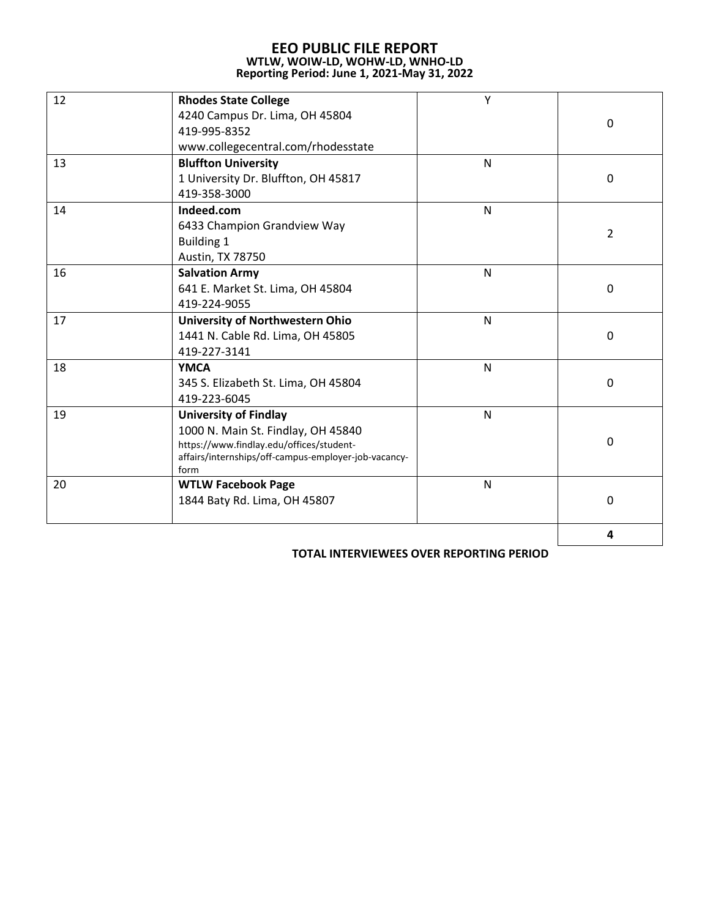## **EEO PUBLIC FILE REPORT WTLW, WOIW‐LD, WOHW‐LD, WNHO‐LD Reporting Period: June 1, 2021‐May 31, 2022**

| 12 | <b>Rhodes State College</b><br>4240 Campus Dr. Lima, OH 45804 | Υ            |                  |
|----|---------------------------------------------------------------|--------------|------------------|
|    | 419-995-8352                                                  |              | $\mathbf 0$      |
|    | www.collegecentral.com/rhodesstate                            |              |                  |
| 13 | <b>Bluffton University</b>                                    | N            |                  |
|    | 1 University Dr. Bluffton, OH 45817                           |              | $\pmb{0}$        |
|    | 419-358-3000                                                  |              |                  |
| 14 | Indeed.com                                                    | $\mathsf{N}$ |                  |
|    | 6433 Champion Grandview Way                                   |              |                  |
|    | <b>Building 1</b>                                             |              | $\overline{2}$   |
|    | Austin, TX 78750                                              |              |                  |
| 16 | <b>Salvation Army</b>                                         | N            |                  |
|    | 641 E. Market St. Lima, OH 45804                              |              | $\mathbf 0$      |
|    | 419-224-9055                                                  |              |                  |
| 17 | <b>University of Northwestern Ohio</b>                        | $\mathsf{N}$ |                  |
|    | 1441 N. Cable Rd. Lima, OH 45805                              |              | 0                |
|    | 419-227-3141                                                  |              |                  |
| 18 | <b>YMCA</b>                                                   | $\mathsf{N}$ |                  |
|    | 345 S. Elizabeth St. Lima, OH 45804                           |              | $\mathbf 0$      |
|    | 419-223-6045                                                  |              |                  |
| 19 | <b>University of Findlay</b>                                  | $\mathsf{N}$ |                  |
|    | 1000 N. Main St. Findlay, OH 45840                            |              |                  |
|    | https://www.findlay.edu/offices/student-                      |              | $\boldsymbol{0}$ |
|    | affairs/internships/off-campus-employer-job-vacancy-<br>form  |              |                  |
| 20 | <b>WTLW Facebook Page</b>                                     | N            |                  |
|    | 1844 Baty Rd. Lima, OH 45807                                  |              | $\mathbf 0$      |
|    |                                                               |              |                  |
|    |                                                               |              | 4                |

**TOTAL INTERVIEWEES OVER REPORTING PERIOD**